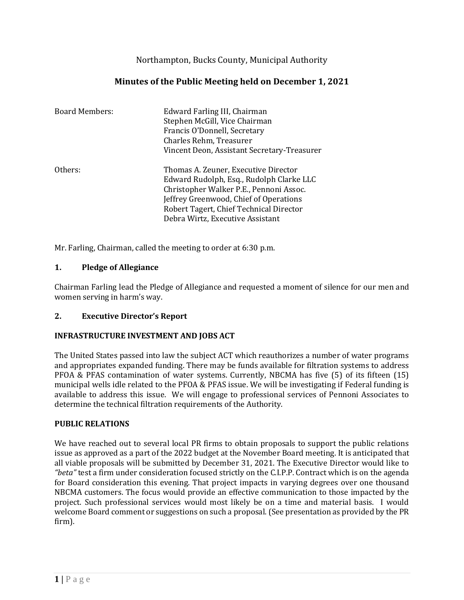Northampton, Bucks County, Municipal Authority

# **Minutes of the Public Meeting held on December 1, 2021**

| <b>Board Members:</b> | Edward Farling III, Chairman<br>Stephen McGill, Vice Chairman<br>Francis O'Donnell, Secretary<br>Charles Rehm, Treasurer<br>Vincent Deon, Assistant Secretary-Treasurer                                                                              |
|-----------------------|------------------------------------------------------------------------------------------------------------------------------------------------------------------------------------------------------------------------------------------------------|
| Others:               | Thomas A. Zeuner, Executive Director<br>Edward Rudolph, Esq., Rudolph Clarke LLC<br>Christopher Walker P.E., Pennoni Assoc.<br>Jeffrey Greenwood, Chief of Operations<br>Robert Tagert, Chief Technical Director<br>Debra Wirtz, Executive Assistant |

Mr. Farling, Chairman, called the meeting to order at 6:30 p.m.

#### **1. Pledge of Allegiance**

Chairman Farling lead the Pledge of Allegiance and requested a moment of silence for our men and women serving in harm's way.

## **2. Executive Director's Report**

## **INFRASTRUCTURE INVESTMENT AND JOBS ACT**

The United States passed into law the subject ACT which reauthorizes a number of water programs and appropriates expanded funding. There may be funds available for filtration systems to address PFOA & PFAS contamination of water systems. Currently, NBCMA has five (5) of its fifteen (15) municipal wells idle related to the PFOA & PFAS issue. We will be investigating if Federal funding is available to address this issue. We will engage to professional services of Pennoni Associates to determine the technical filtration requirements of the Authority.

#### **PUBLIC RELATIONS**

We have reached out to several local PR firms to obtain proposals to support the public relations issue as approved as a part of the 2022 budget at the November Board meeting. It is anticipated that all viable proposals will be submitted by December 31, 2021. The Executive Director would like to *"beta"* test a firm under consideration focused strictly on the C.I.P.P. Contract which is on the agenda for Board consideration this evening. That project impacts in varying degrees over one thousand NBCMA customers. The focus would provide an effective communication to those impacted by the project. Such professional services would most likely be on a time and material basis. I would welcome Board comment or suggestions on such a proposal. (See presentation as provided by the PR firm).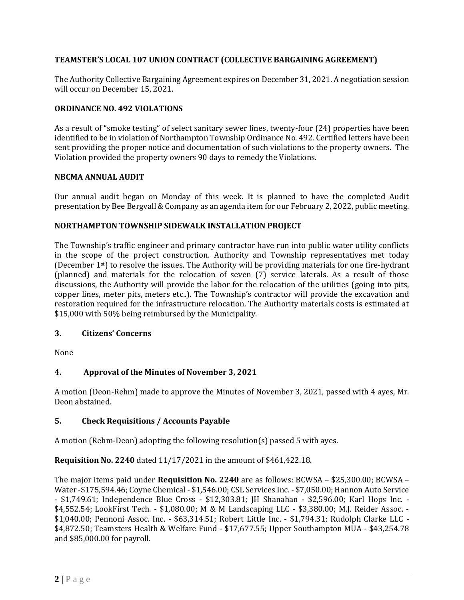## **TEAMSTER'S LOCAL 107 UNION CONTRACT (COLLECTIVE BARGAINING AGREEMENT)**

The Authority Collective Bargaining Agreement expires on December 31, 2021. A negotiation session will occur on December 15, 2021.

## **ORDINANCE NO. 492 VIOLATIONS**

As a result of "smoke testing" of select sanitary sewer lines, twenty-four (24) properties have been identified to be in violation of Northampton Township Ordinance No. 492. Certified letters have been sent providing the proper notice and documentation of such violations to the property owners. The Violation provided the property owners 90 days to remedy the Violations.

#### **NBCMA ANNUAL AUDIT**

Our annual audit began on Monday of this week. It is planned to have the completed Audit presentation by Bee Bergvall & Company as an agenda item for our February 2, 2022, public meeting.

#### **NORTHAMPTON TOWNSHIP SIDEWALK INSTALLATION PROJECT**

The Township's traffic engineer and primary contractor have run into public water utility conflicts in the scope of the project construction. Authority and Township representatives met today (December 1st) to resolve the issues. The Authority will be providing materials for one fire-hydrant (planned) and materials for the relocation of seven (7) service laterals. As a result of those discussions, the Authority will provide the labor for the relocation of the utilities (going into pits, copper lines, meter pits, meters etc..). The Township's contractor will provide the excavation and restoration required for the infrastructure relocation. The Authority materials costs is estimated at \$15,000 with 50% being reimbursed by the Municipality.

## **3. Citizens' Concerns**

None

## **4. Approval of the Minutes of November 3, 2021**

A motion (Deon-Rehm) made to approve the Minutes of November 3, 2021, passed with 4 ayes, Mr. Deon abstained.

## **5. Check Requisitions / Accounts Payable**

A motion (Rehm-Deon) adopting the following resolution(s) passed 5 with ayes.

**Requisition No. 2240** dated 11/17/2021 in the amount of \$461,422.18.

The major items paid under **Requisition No. 2240** are as follows: BCWSA – \$25,300.00; BCWSA – Water -\$175,594.46; Coyne Chemical - \$1,546.00; CSL Services Inc. - \$7,050.00; Hannon Auto Service - \$1,749.61; Independence Blue Cross - \$12,303.81; JH Shanahan - \$2,596.00; Karl Hops Inc. - \$4,552.54; LookFirst Tech. - \$1,080.00; M & M Landscaping LLC - \$3,380.00; M.J. Reider Assoc. - \$1,040.00; Pennoni Assoc. Inc. - \$63,314.51; Robert Little Inc. - \$1,794.31; Rudolph Clarke LLC - \$4,872.50; Teamsters Health & Welfare Fund - \$17,677.55; Upper Southampton MUA - \$43,254.78 and \$85,000.00 for payroll.